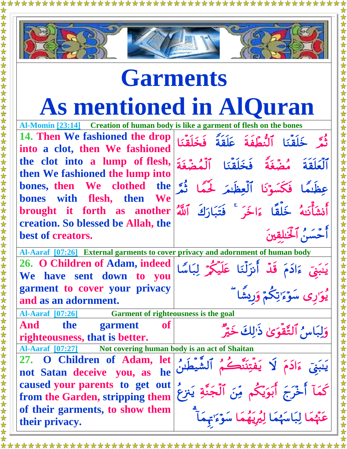

## **Garments As mentioned in AlQuran**

**Al-Momin [\[23:14\]](http://www.islamicity.org/ps/default.asp?UserString=Jinn&ref=http%3A%2F%2Fwww.islamicity.com%2F&ShowTranslation=on&ShowTransliteration=on&ShowArabic=on#34_12) Creation of human body is like a garment of flesh on the bones**

**14. Then We fashioned the drop into a clot, then We fashioned the clot into a lump of flesh, then We fashioned the lump into bones, then We clothed the bones with flesh, then We brought it forth as another creation. So blessed be Allah, the best of creators.**

**Al-Aaraf [\[07:26\]](http://www.islamicity.org/ps/default.asp?UserString=Jinn&ref=http%3A%2F%2Fwww.islamicity.com%2F&ShowTranslation=on&ShowTransliteration=on&ShowArabic=on#6_100) External garments to cover privacy and adornment of human body 26. O Children of Adam, indeed We have sent down to you garment to cover your privacy and as an adornment.** يَبِيَى ءَادَمَ قَدْ أَنزَلْنَا عَلَيْكُمْ لِبَاسًا يُوَرِي سَوْءَ'تِكُمْ وَرِيشًا

**Al-Aaraf [\[07:26\]](http://www.islamicity.org/ps/default.asp?UserString=Jinn&ref=http%3A%2F%2Fwww.islamicity.com%2F&ShowTranslation=on&ShowTransliteration=on&ShowArabic=on#6_100) Garment of righteousness is the goal**

**And the garment of righteousness, that is better.** 

**Al-Aaraf [\[07:27\]](http://www.islamicity.org/ps/default.asp?UserString=Jinn&ref=http%3A%2F%2Fwww.islamicity.com%2F&ShowTranslation=on&ShowTransliteration=on&ShowArabic=on#6_100) Not covering human body is an act of Shaitan**

**27. O Children of Adam, let not Satan deceive you, as he caused your parents to get out from the Garden, stripping them of their garments, to show them their privacy.**

يَنبَنَّ ءَادَمَ لَا يَفتِنَنَّكُمُ ٱلشَّيطُنُنُ كُمَا أَخْرَجَ أَبَوَيْكُمْ مِّنَ ٱلْجَنَّةِ يَنزِعَ عَنَّهُمَا لِبَاسَهُمَا لِيُرِيَهُمَا سَوْءَ يَهْمَأُ

وَلِبَاسُ ٱلتَّقْوَىٰ ذَٰٰٓاكَ خَيْرٌ

ثَمَّر خَلقنَا النَّطَفة عَلقةً فخَلقنَا

أحسن ألخلقين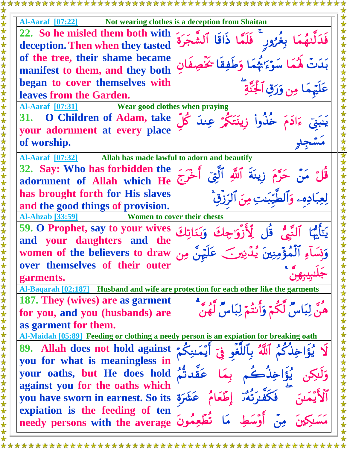**Al-Aaraf [\[07:22\]](http://www.islamicity.org/ps/default.asp?UserString=Jinn&ref=http%3A%2F%2Fwww.islamicity.com%2F&ShowTranslation=on&ShowTransliteration=on&ShowArabic=on#51_56) Not wearing clothes is a deception from Shaitan 22. So he misled them both with deception.Then when they tasted of the tree, their shame became manifest to them, and they both began to cover themselves with leaves from the Garden.**  فدَلَّتِهُمَا بِغَرُورٍ ۖ فَلَمَّا ذَاقًا الشَّجَرَة بَدَتَّ هُمَا سَوْءَ يَهْمَا وَطَفِقَا يَحْصِفَان عَلَيْهِمَا مِن وَرَقِ ٱلْجَنَّةِ **Al-Aaraf [\[07:31\]](http://www.islamicity.org/ps/default.asp?UserString=Jinn&ref=http%3A%2F%2Fwww.islamicity.com%2F&ShowTranslation=on&ShowTransliteration=on&ShowArabic=on#51_56) Wear good clothes when praying 31. O Children of Adam, take your adornment at every place of worship.** ĺ  $\overline{\phantom{a}}$ مَسْجِلِ **Al-Aaraf [\[07:32\]](http://www.islamicity.org/ps/default.asp?UserString=Jinn&ref=http%3A%2F%2Fwww.islamicity.com%2F&ShowTranslation=on&ShowTransliteration=on&ShowArabic=on#51_56) Allah has made lawful to adorn and beautify 32. Say: Who has forbidden the adornment of Allah which He has brought forth for His slaves and the good things of provision.**  قُلِّ مَنْ حَرَّمَ زِينَةَ أَللَّهِ أَلَيَّ أَخْرَجَ لعِبَادِهِۦ وَالْطِيِّبِيتِ مِنَ الرَّزِقِّ **Al-Ahzab [\[33:59\]](http://www.islamicity.org/ps/default.asp?UserString=Jinn&ref=http%3A%2F%2Fwww.islamicity.com%2F&ShowTranslation=on&ShowTransliteration=on&ShowArabic=on#55_33) Women to cover their chests 59. O Prophet, say to your wives and your daughters and the women of the believers to draw over themselves of their outer garments.**  وَنَسَاءِ الْمُؤْمِنِينَ يُدِّنِينَ عَلَيْهِنَّ مِن  $\frac{c}{c}$ جَلبيبهنّ **Al-Baqarah [\[02:187\]](http://www.islamicity.org/ps/default.asp?UserString=Jinn&ref=http%3A%2F%2Fwww.islamicity.com%2F&ShowTranslation=on&ShowTransliteration=on&ShowArabic=on#32_13) Husband and wife are protection for each other like the garments 187. They (wives) are as garment for you, and you (husbands) are as garment for them.**  هَنَّ لِبَاسٌ لَكُمْ وَأَنتُمْ لِبَاسٌ لَهُنَّ **Al-Maidah [\[05:89\]](http://www.islamicity.org/ps/default.asp?UserString=Jinn&ref=http%3A%2F%2Fwww.islamicity.com%2F&ShowTranslation=on&ShowTransliteration=on&ShowArabic=on#27_39) Feeding or clothing a needy person is an expiation for breaking oath 89. Allah does not hold against you for what is meaningless in your oaths, but He does hold against you for the oaths which you have sworn in earnest. So its expiation is the feeding of ten needy persons with the average**  لَا يُؤَاخِذُكُمُ ٱللَّهُ بِٱلْلَّٰفِو فِيَ ٱيُمَنِكُمُ وَلَٰكِن يُؤَاخِذُكُم بِمَا عَقِدتُمُ الْأَيّْمَىنَ فَكَفِيرَتّْهُ وَطَّعَامُ عَشَرَة مَسَـٰكِينَ مِنْ أَوْسَطِ مَا تَطَعِمُونَ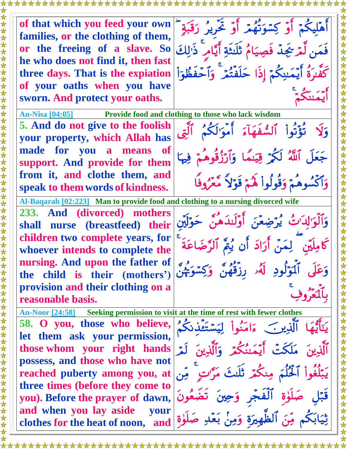

\*\*\*\*\*\*\*\*\*\*\*\*\*\*\*\*\*\*\*\*\*\*\*\*\*\*\*\*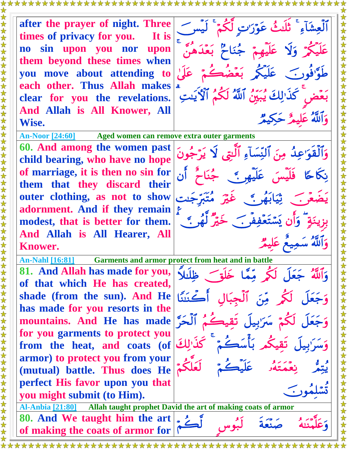**times of privacy for you. It is no sin upon you nor upon them beyond these times when you move about attending to each other. Thus Allah makes clear for you the revelations. And Allah is All Knower, All Wise.** 

**after the prayer of night. Three**  عَلَيكُمْ وَلَا عَلَيْهِمْ جُنَاحٌ بَعْدَهُنَّ طَوَّ'فُونَ عَلَيْكُمْ بَعْضَكُمْ عَلَىٰ بَعَّضَ كَذَٰ لِكَ يُبَيِّنُ ٱللَّهُ لَكُمُ ٱلْأَيَّتِ وَأَلَلَّهُ عَلَيْمٌ حَكِيمٌ

**An-Noor [\[24:60\]](http://www.islamicity.org/ps/default.asp?UserString=Jinn&ref=http%3A%2F%2Fwww.islamicity.com%2F&ShowTranslation=on&ShowTransliteration=on&ShowArabic=on#34_12) Aged women can remove extra outer garments 60. And among the women past child bearing, who have no hope of marriage, it is then no sin for them that they discard their outer clothing, as not to show adornment. And if they remain modest, that is better for them. And Allah is All Hearer, All Knower.**

**An-Nahl [\[16:81\]](http://www.islamicity.org/ps/default.asp?UserString=Jinn&ref=http%3A%2F%2Fwww.islamicity.com%2F&ShowTranslation=on&ShowTransliteration=on&ShowArabic=on#7_38) Garments and armor protect from heat and in battle**

**81. And Allah has made for you, of that which He has created, shade (from the sun). And He has made for you resorts in the mountains. And He has made for you garments to protect you from the heat, and coats (of armor) to protect you from your (mutual) battle. Thus does He perfect His favor upon you that you might submit (to Him).**

**Al-Anbia [\[21:80\]](http://www.islamicity.org/ps/default.asp?UserString=Jinn&ref=http%3A%2F%2Fwww.islamicity.com%2F&ShowTranslation=on&ShowTransliteration=on&ShowArabic=on#11_119) Allah taught prophet David the art of making coats of armor 80. And We taught him the art of making the coats of armor for** 

وَٱلْقُوَاعِلُهُ مِنَ ٱلنِّسَاءِ ٱلَّتِي لَا يَرْجُونَ نِكَاحًا فَلَيْسَ عَلَيْهِمْ ﴾ جُنَاحَ أَن بِزِينَةٍ ۚ وَأَن يَسۡتَعۡفِفُو ﴾ خَيۡرٌ لَٰهُو ﴾ ﴾ وَأَلَلَّهُ سَمِيعُ عَلَيْمٌ وَاللَّهُ جَعَلَ لَكُمْ مِّمَّا خَلَقَ ظِلْبَلَا وَجَعَلَ لَكُمْ مِّنَ ٱلْجِبَالِ أَكْنَتُنَا



هُ صَنْعَةٌ لَبُّ

متنه ĺ وَعَل

 $\overline{\phantom{a}}$  $\rightarrow$ Ĵ J,

.<br>و س ہ<br>م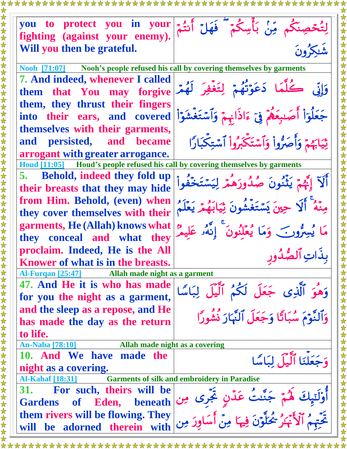| you to protect you in your<br>fighting (against your enemy).                   | م مِّنْ بَأْسِكُمْ ۖ فَهَلْ أَنتُمْ                                                                 |
|--------------------------------------------------------------------------------|-----------------------------------------------------------------------------------------------------|
| Will you then be grateful.                                                     |                                                                                                     |
| Nooh [71:07] Nooh's people refused his call by covering themselves by garments |                                                                                                     |
| <b>7. And indeed, whenever I called</b><br>them that You may forgive           | وَإِنَّى كُلَّمَا دَعَوْتُهُمْ لِتَغْفِرَ لَهُمْ                                                    |
| them, they thrust their fingers<br>into their ears, and covered                | جَعَلُوٓاْ أَصَبِعَهُمۡ فِيٓ ءَاذَانٖمۡ وَٱسۡتَغۡشَوَاْ                                             |
| themselves with their garments,                                                |                                                                                                     |
| and persisted, and became                                                      | ثِيَابَهُمْ وَأَصَرُّواْ وَآسَتَكَبَرُواْ آسَتِكْبَارًا                                             |
| arrogant with greater arrogance.                                               |                                                                                                     |
| Houd [11:05] Houd's people refused his call by covering themselves by garments |                                                                                                     |
| 5. Behold, indeed they fold up<br>their breasts that they may hide             | أَلَآ إِبَّهُمْ يَثْنُونَ صُدُورَهُمْ<br>لمشتخفه                                                    |
| from Him. Behold, (even) when<br>they cover themselves with their              | حِينَ يَسْتَغَشُّونَ ثِيَابَهُمْ يَعْلَمُ                                                           |
| garments, He (Allah) knows what<br>they conceal and what they                  | مَا يُسِرُّونَ ۖ وَمَا يُعْلَنُونَ ۚ إِنَّهُمْ عَلِيمٌ ۚ                                            |
| proclaim. Indeed, He is the All                                                |                                                                                                     |
| Knower of what is in the breasts.                                              | بذَاتِ ٱلصَّدُ                                                                                      |
| Al-Furgan [25:47] Allah made night as a garment                                |                                                                                                     |
| 47. And He it is who has made                                                  |                                                                                                     |
| for you the night as a garment,                                                |                                                                                                     |
| and the sleep as a repose, and He<br>has made the day as the return            | وَهُوَ ٱلَّذِى جَعَلَ لَكُمُ ٱلَّيۡلَ لِبَاسًا<br>وَٱلنَّوۡمَ سُبَاتًا وَجَعَلَ ٱلنَّهَارَ نُشُورًا |
| to life.                                                                       |                                                                                                     |
| Allah made night as a covering<br><b>An-Naba</b> [78:10]                       |                                                                                                     |
| 10. And We have made the<br>night as a covering.                               | وَجَعَلْنَا ٱلَّيْلَ لِبَاسًا                                                                       |
| <b>Garments of silk and embroidery in Paradise</b><br><b>Al-Kahaf [18:31]</b>  |                                                                                                     |
| <b>For such, theirs will be</b><br>31.<br>Gardens of Eden, beneath             | أَوْلَنَ <sub>ه</sub> ِكَ لَهُمْ جَنَّنتُ عَدْنٍ تَجَرى مِن                                         |
| them rivers will be flowing. They<br>will be adorned therein with              | ر عِمْدٍ<br>تَحْتَمَمُ ٱلْأَنْهَٰزُ شُخَلَّوْنَ فِيهَا مِنْ أَسَاوِرَ مِنِ                          |
|                                                                                |                                                                                                     |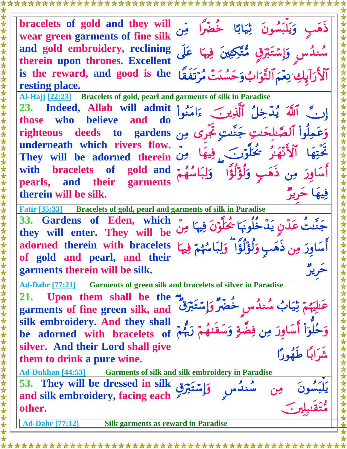**bracelets of gold and they will wear green garments of fine silk and gold embroidery, reclining therein upon thrones. Excellent is the reward, and good is the resting place.** ذهَبِ وَيَلْبَسُونَ ثِيَابًا خَضَرًا مِّن سُندُس وَإِسْتَبْرَقِ مُتَّكِعِينَ فِيهَا عَلَى أَلاَّ رَآيِكِ بِعَيَمَ ٱلثَّوَابُ وَحَسَنَتِّ مُرَتَّفَقَا **Al-Hajj [\[22:23\]](http://www.islamicity.org/ps/default.asp?UserString=Jinn&ref=http%3A%2F%2Fwww.islamicity.com%2F&ShowTranslation=on&ShowTransliteration=on&ShowArabic=on#55_33) Bracelets of gold, pearl and garments of silk in Paradise 23. Indeed, Allah will admit those who believe and do righteous deeds to gardens underneath which rivers flow. They will be adorned therein with bracelets of gold and pearls, and their garments therein will be silk.** وَعَمِلُواْ الصَّلحَنتِ جَنَّنتِ ثَجْرِي مِن مو<br>بر فِيهَا حَرِ **Fatir [\[35:33\]](http://www.islamicity.org/ps/default.asp?UserString=Jinn&ref=http%3A%2F%2Fwww.islamicity.com%2F&ShowTranslation=on&ShowTransliteration=on&ShowArabic=on#37_158) Bracelets of gold, pearl and garments of silk in Paradise 33. Gardens of Eden, which they will enter. They will be adorned therein with bracelets of gold and pearl, and their garments therein will be silk.**  جَنَّنتَ عَدِّنٍ يَدِّخَلُونَهَا يَحْلُونَ فِيهَا مِنْ  $\frac{1}{2}$ حرير **Ad-Dahr [\[77:21\]](http://www.islamicity.org/ps/default.asp?UserString=Jinn&ref=http%3A%2F%2Fwww.islamicity.com%2F&ShowTranslation=on&ShowTransliteration=on&ShowArabic=on#34_12) Garments of green silk and bracelets of silver in Paradise 21. Upon them shall be the garments of fine green silk, and silk embroidery. And they shall be adorned with bracelets of silver. And their Lord shall give them to drink a pure wine.** عَلَيْهُمْ ثِيَابُ سُندُس خَصْرٌ وَإِسْتَبْرَقَ ۖ وَحُلوٓاْ أَسَاوِرَ مِن فِضَّةِ وَسَقَنْهُمۡ رَبُّمۡۖ إِ مشرابیا طهورا **Ad-Dukhan [\[44:53\]](http://www.islamicity.org/ps/default.asp?UserString=Jinn&ref=http%3A%2F%2Fwww.islamicity.com%2F&ShowTranslation=on&ShowTransliteration=on&ShowArabic=on#34_12) Garments of silk and silk embroidery in Paradise 53. They will be dressed in silk and silk embroidery, facing each other.** ونَ مِن سُنڌَس  $\overline{\phantom{a}}$ یکبس تَقْبُلِينَ ة<br>م ته<br>ه **Ad-Dahr [\[77:12\]](http://www.islamicity.org/ps/default.asp?UserString=Jinn&ref=http%3A%2F%2Fwww.islamicity.com%2F&ShowTranslation=on&ShowTransliteration=on&ShowArabic=on#34_12) Silk garments as reward in Paradise**